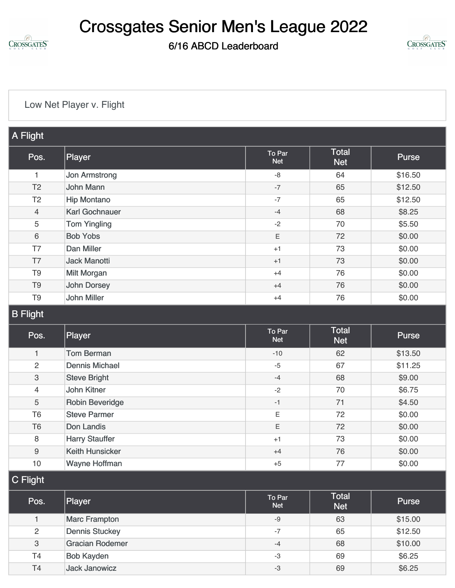

6/16 ABCD Leaderboard



#### [Low Net Player v. Flight](https://static.golfgenius.com/v2tournaments/8569449525431769538?called_from=&round_index=11)

| A Flight       |                       |                      |                     |              |
|----------------|-----------------------|----------------------|---------------------|--------------|
| Pos.           | Player                | To Par<br><b>Net</b> | Total<br><b>Net</b> | <b>Purse</b> |
| 1              | <b>Jon Armstrong</b>  | $-8$                 | 64                  | \$16.50      |
| T <sub>2</sub> | John Mann             | $-7$                 | 65                  | \$12.50      |
| T <sub>2</sub> | <b>Hip Montano</b>    | $-7$                 | 65                  | \$12.50      |
| $\overline{4}$ | <b>Karl Gochnauer</b> | $-4$                 | 68                  | \$8.25       |
| 5              | <b>Tom Yingling</b>   | $-2$                 | 70                  | \$5.50       |
| 6              | <b>Bob Yobs</b>       | Ε                    | 72                  | \$0.00       |
| T7             | <b>Dan Miller</b>     | $+1$                 | 73                  | \$0.00       |
| T7             | <b>Jack Manotti</b>   | $+1$                 | 73                  | \$0.00       |
| T <sub>9</sub> | <b>Milt Morgan</b>    | $+4$                 | 76                  | \$0.00       |
| T <sub>9</sub> | John Dorsey           | $+4$                 | 76                  | \$0.00       |
| T <sub>9</sub> | <b>John Miller</b>    | $+4$                 | 76                  | \$0.00       |

#### B Flight

| Pos.           | Player                 | To Par<br><b>Net</b> | <b>Total</b><br><b>Net</b> | <b>Purse</b> |
|----------------|------------------------|----------------------|----------------------------|--------------|
| -1             | <b>Tom Berman</b>      | $-10$                | 62                         | \$13.50      |
| 2              | Dennis Michael         | $-5$                 | 67                         | \$11.25      |
| 3              | <b>Steve Bright</b>    | $-4$                 | 68                         | \$9.00       |
| $\overline{4}$ | <b>John Kitner</b>     | $-2$                 | 70                         | \$6.75       |
| 5              | Robin Beveridge        | $-1$                 | 71                         | \$4.50       |
| T <sub>6</sub> | <b>Steve Parmer</b>    | E                    | 72                         | \$0.00       |
| T <sub>6</sub> | Don Landis             | E                    | 72                         | \$0.00       |
| 8              | <b>Harry Stauffer</b>  | $+1$                 | 73                         | \$0.00       |
| 9              | <b>Keith Hunsicker</b> | $+4$                 | 76                         | \$0.00       |
| 10             | Wayne Hoffman          | $+5$                 | 77                         | \$0.00       |

C Flight

| Pos.           | Player                 | To Par<br><b>Net</b> | <b>Total</b><br><b>Net</b> | <b>Purse</b> |
|----------------|------------------------|----------------------|----------------------------|--------------|
|                | <b>Marc Frampton</b>   | -9                   | 63                         | \$15.00      |
| 2              | Dennis Stuckey         | $-7$                 | 65                         | \$12.50      |
| 3              | <b>Gracian Rodemer</b> | $-4$                 | 68                         | \$10.00      |
| T <sub>4</sub> | <b>Bob Kayden</b>      | -3                   | 69                         | \$6.25       |
| T <sub>4</sub> | <b>Jack Janowicz</b>   | -3                   | 69                         | \$6.25       |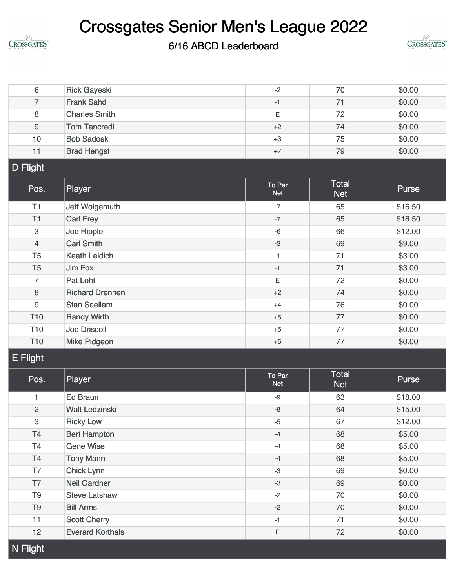

### 6/16 ABCD Leaderboard



| 6               | <b>Rick Gayeski</b>     | $-2$                 | 70                         | \$0.00  |
|-----------------|-------------------------|----------------------|----------------------------|---------|
| $\overline{7}$  | <b>Frank Sahd</b>       | $-1$                 | 71                         | \$0.00  |
| 8               | <b>Charles Smith</b>    | Ε                    | 72                         | \$0.00  |
| $\hbox{9}$      | <b>Tom Tancredi</b>     | $+2$                 | 74                         | \$0.00  |
| 10              | <b>Bob Sadoski</b>      | $+3$                 | 75                         | \$0.00  |
| 11              | <b>Brad Hengst</b>      | $+7$                 | 79                         | \$0.00  |
| <b>D</b> Flight |                         |                      |                            |         |
| Pos.            | Player                  | To Par<br><b>Net</b> | <b>Total</b><br><b>Net</b> | Purse   |
| T1              | Jeff Wolgemuth          | $-7$                 | 65                         | \$16.50 |
| T1              | <b>Carl Frey</b>        | $-7$                 | 65                         | \$16.50 |
| 3               | Joe Hipple              | $-6$                 | 66                         | \$12.00 |
| $\overline{4}$  | <b>Carl Smith</b>       | $-3$                 | 69                         | \$9.00  |
| T <sub>5</sub>  | <b>Keath Leidich</b>    | $-1$                 | 71                         | \$3.00  |
| T <sub>5</sub>  | Jim Fox                 | $-1$                 | 71                         | \$3.00  |
| $\overline{7}$  | Pat Loht                | $\mathsf E$          | 72                         | \$0.00  |
| 8               | <b>Richard Drennen</b>  | $+2$                 | 74                         | \$0.00  |
| 9               | <b>Stan Saellam</b>     | $+4$                 | 76                         | \$0.00  |
| T <sub>10</sub> | <b>Randy Wirth</b>      | $+5$                 | 77                         | \$0.00  |
| T <sub>10</sub> | <b>Joe Driscoll</b>     | $+5$                 | 77                         | \$0.00  |
| T <sub>10</sub> | <b>Mike Pidgeon</b>     | $+5$                 | 77                         | \$0.00  |
| <b>E</b> Flight |                         |                      |                            |         |
| Pos.            | Player                  | To Par<br><b>Net</b> | <b>Total</b><br><b>Net</b> | Purse   |
| 1               | <b>Ed Braun</b>         | $-9$                 | 63                         | \$18.00 |
| $\overline{c}$  | <b>Walt Ledzinski</b>   | $-8$                 | 64                         | \$15.00 |
| 3               | <b>Ricky Low</b>        | -5                   | 67                         | \$12.00 |
| T4              | <b>Bert Hampton</b>     | $-4$                 | 68                         | \$5.00  |
| T4              | <b>Gene Wise</b>        | $-4$                 | 68                         | \$5.00  |
| T4              | <b>Tony Mann</b>        | $-4$                 | 68                         | \$5.00  |
| T7              | <b>Chick Lynn</b>       | $-3$                 | 69                         | \$0.00  |
| T7              | <b>Neil Gardner</b>     | $-3$                 | 69                         | \$0.00  |
| T <sub>9</sub>  | <b>Steve Latshaw</b>    | $-2$                 | 70                         | \$0.00  |
| T <sub>9</sub>  | <b>Bill Arms</b>        | $-2$                 | 70                         | \$0.00  |
| 11              | <b>Scott Cherry</b>     | $-1$                 | 71                         | \$0.00  |
| 12              | <b>Everard Korthals</b> | Ε                    | 72                         | \$0.00  |
| <b>N</b> Flight |                         |                      |                            |         |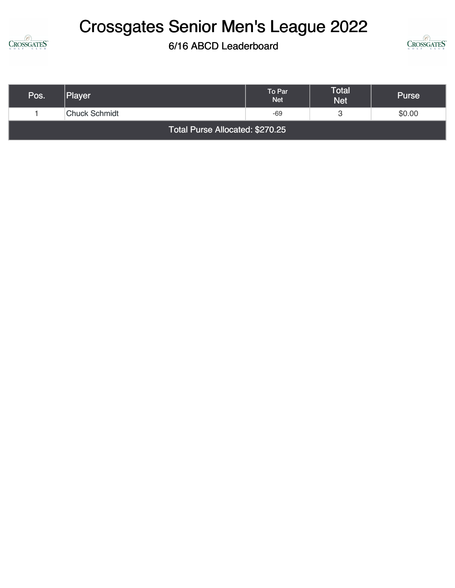

6/16 ABCD Leaderboard



| Pos.                            | <b>Player</b>        | To Par<br><b>Net</b> | <b>Total</b><br><b>Net</b> | <b>Purse</b> |
|---------------------------------|----------------------|----------------------|----------------------------|--------------|
|                                 | <b>Chuck Schmidt</b> | -69                  | ت                          | \$0.00       |
| Total Purse Allocated: \$270.25 |                      |                      |                            |              |